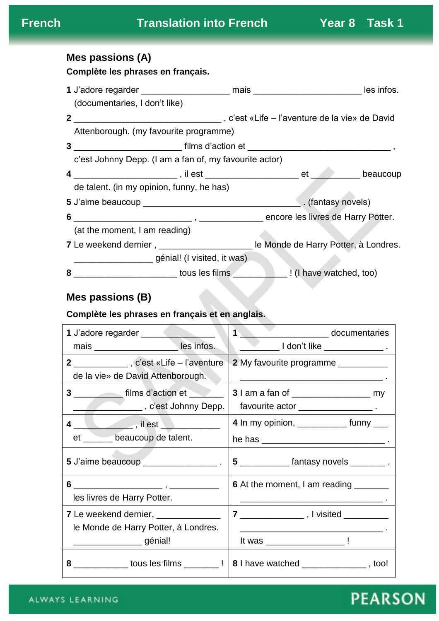# **Mes passions (A)**

**Complète les phrases en français.**

|                | (documentaries, I don't like)                                                                |  |                    |  |  |  |
|----------------|----------------------------------------------------------------------------------------------|--|--------------------|--|--|--|
| 2 <sup>1</sup> | c'est «Life – l'aventure de la vie» de David, و c'est «Life – l'aventure de la vie» de David |  |                    |  |  |  |
|                | Attenborough. (my favourite programme)                                                       |  |                    |  |  |  |
| 3 <sup>1</sup> |                                                                                              |  |                    |  |  |  |
|                | c'est Johnny Depp. (I am a fan of, my favourite actor)                                       |  |                    |  |  |  |
|                |                                                                                              |  |                    |  |  |  |
|                | de talent. (in my opinion, funny, he has)                                                    |  |                    |  |  |  |
|                |                                                                                              |  | . (fantasy novels) |  |  |  |
|                |                                                                                              |  |                    |  |  |  |
|                | (at the moment, I am reading)                                                                |  |                    |  |  |  |
|                |                                                                                              |  |                    |  |  |  |
|                | génial! (I visited, it was)                                                                  |  |                    |  |  |  |
| 8              | Later Lines Courses in Lines County 1 (1 have watched, too)                                  |  |                    |  |  |  |

## **Mes passions (B)**

## **Complète les phrases en français et en anglais.**

| 1 J'adore regarder                                                                | documentaries                              |  |
|-----------------------------------------------------------------------------------|--------------------------------------------|--|
| mais _________________________les infos.                                          |                                            |  |
| 2 _____________, c'est «Life – l'aventure                                         | 2 My favourite programme _________         |  |
| de la vie» de David Attenborough.                                                 |                                            |  |
| 3                                                                                 |                                            |  |
|                                                                                   | favourite actor _______________________.   |  |
|                                                                                   | 4 In my opinion, ______________ funny ____ |  |
| et _______ beaucoup de talent.                                                    |                                            |  |
|                                                                                   | 5 _____________ fantasy novels __________. |  |
|                                                                                   | 6 At the moment, I am reading ________     |  |
| les livres de Harry Potter.                                                       |                                            |  |
| <b>7</b> Le weekend dernier, _______________                                      |                                            |  |
| le Monde de Harry Potter, à Londres.                                              |                                            |  |
| ____________________ génial!                                                      |                                            |  |
| 8 _____________ tous les films ________ !   8   have watched ______________, too! |                                            |  |

# **PEARSON**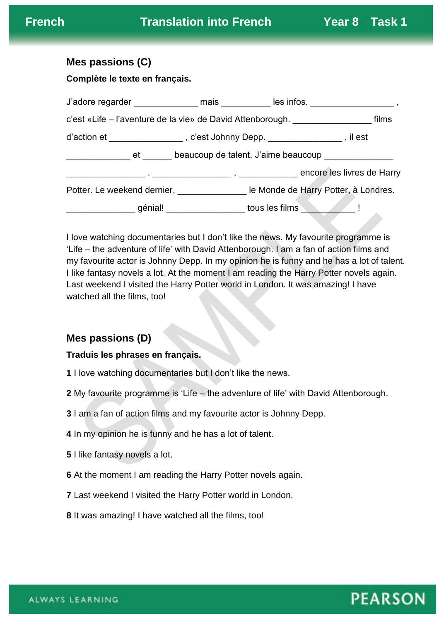#### **Mes passions (C)**

**Complète le texte en français.**

| c'est «Life - l'aventure de la vie» de David Attenborough.<br>films                |  |                                                                                    |  |  |  |  |  |
|------------------------------------------------------------------------------------|--|------------------------------------------------------------------------------------|--|--|--|--|--|
| d'action et ___________________, c'est Johnny Depp. _________________, il est      |  |                                                                                    |  |  |  |  |  |
|                                                                                    |  |                                                                                    |  |  |  |  |  |
|                                                                                    |  |                                                                                    |  |  |  |  |  |
|                                                                                    |  | Potter. Le weekend dernier, _________________ le Monde de Harry Potter, à Londres. |  |  |  |  |  |
| ____________________ génial! _____________________ tous les films ______________ ! |  |                                                                                    |  |  |  |  |  |

I love watching documentaries but I don't like the news. My favourite programme is 'Life – the adventure of life' with David Attenborough. I am a fan of action films and my favourite actor is Johnny Depp. In my opinion he is funny and he has a lot of talent. I like fantasy novels a lot. At the moment I am reading the Harry Potter novels again. Last weekend I visited the Harry Potter world in London. It was amazing! I have watched all the films, too!

## **Mes passions (D)**

#### **Traduis les phrases en français.**

- **1** I love watching documentaries but I don't like the news.
- **2** My favourite programme is 'Life the adventure of life' with David Attenborough.
- **3** I am a fan of action films and my favourite actor is Johnny Depp.
- **4** In my opinion he is funny and he has a lot of talent.
- **5** I like fantasy novels a lot.
- **6** At the moment I am reading the Harry Potter novels again.
- **7** Last weekend I visited the Harry Potter world in London.
- **8** It was amazing! I have watched all the films, too!